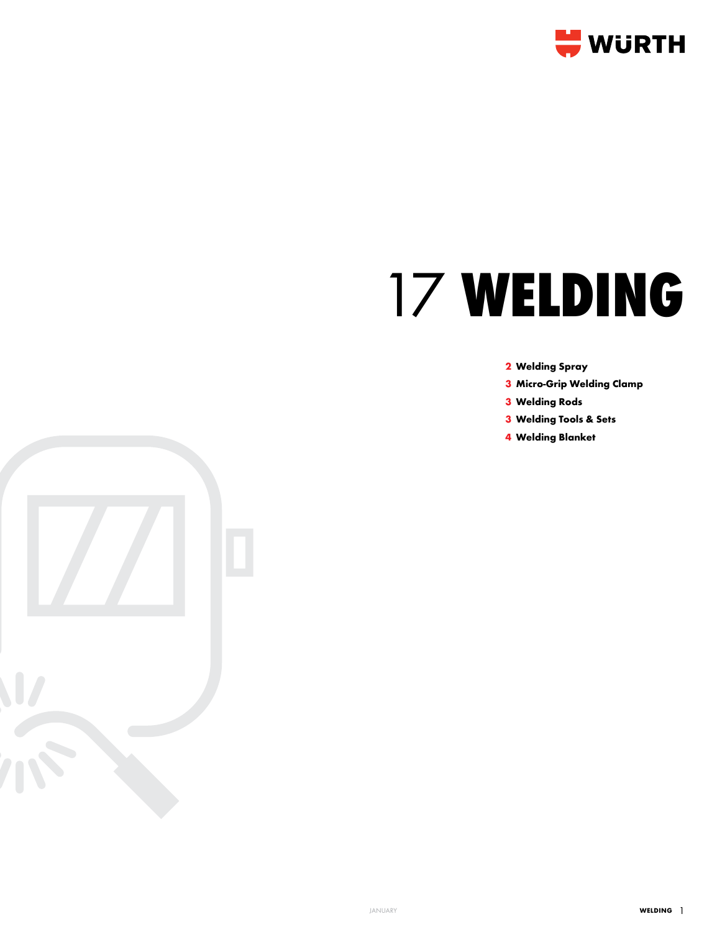

# **WELDING**

## **Welding Spray**

- **Micro-Grip Welding Clamp**
- **Welding Rods**
- **Welding Tools & Sets**
- **Welding Blanket**

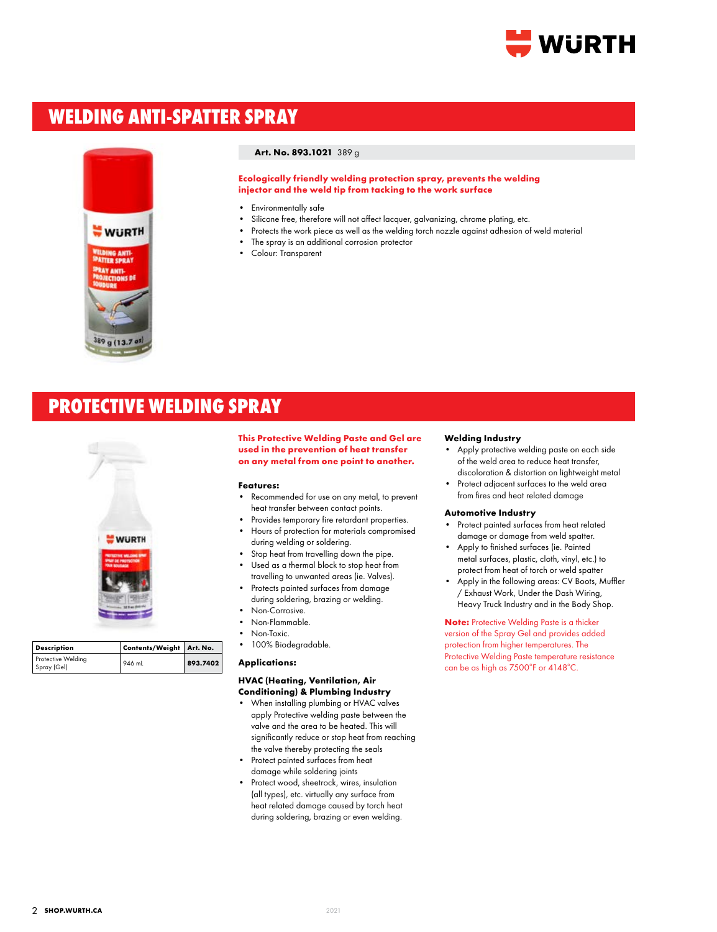

# **WELDING ANTI-SPATTER SPRAY**



## **Art. No. 893.1021** 389 g

**Ecologically friendly welding protection spray, prevents the welding injector and the weld tip from tacking to the work surface**

- Environmentally safe
- Silicone free, therefore will not affect lacquer, galvanizing, chrome plating, etc.
- Protects the work piece as well as the welding torch nozzle against adhesion of weld material
- The spray is an additional corrosion protector
- Colour: Transparent

# **PROTECTIVE WELDING SPRAY**



| <b>Description</b>                | Contents/Weight Art. No. |          |
|-----------------------------------|--------------------------|----------|
| Protective Welding<br>Spray (Gel) | 946 mL                   | 893.7402 |

**This Protective Welding Paste and Gel are used in the prevention of heat transfer on any metal from one point to another.**

#### **Features:**

- Recommended for use on any metal, to prevent heat transfer between contact points.
- Provides temporary fire retardant properties. • Hours of protection for materials compromised during welding or soldering.
- Stop heat from travelling down the pipe.
- Used as a thermal block to stop heat from travelling to unwanted areas (ie. Valves).
- Protects painted surfaces from damage during soldering, brazing or welding.
- Non-Corrosive.
- Non-Flammable.
- Non-Toxic.
- 100% Biodegradable.

## **Applications:**

## **HVAC (Heating, Ventilation, Air Conditioning) & Plumbing Industry**

- When installing plumbing or HVAC valves apply Protective welding paste between the valve and the area to be heated. This will significantly reduce or stop heat from reaching the valve thereby protecting the seals
- Protect painted surfaces from heat damage while soldering joints
- Protect wood, sheetrock, wires, insulation (all types), etc. virtually any surface from heat related damage caused by torch heat during soldering, brazing or even welding.

#### **Welding Industry**

- Apply protective welding paste on each side of the weld area to reduce heat transfer, discoloration & distortion on lightweight metal
- Protect adjacent surfaces to the weld area
- from fires and heat related damage

# **Automotive Industry**

- Protect painted surfaces from heat related damage or damage from weld spatter.
- Apply to finished surfaces (ie. Painted metal surfaces, plastic, cloth, vinyl, etc.) to protect from heat of torch or weld spatter
- Apply in the following areas: CV Boots, Muffler / Exhaust Work, Under the Dash Wiring, Heavy Truck Industry and in the Body Shop.

**Note:** Protective Welding Paste is a thicker version of the Spray Gel and provides added protection from higher temperatures. The Protective Welding Paste temperature resistance can be as high as 7500°F or 4148°C.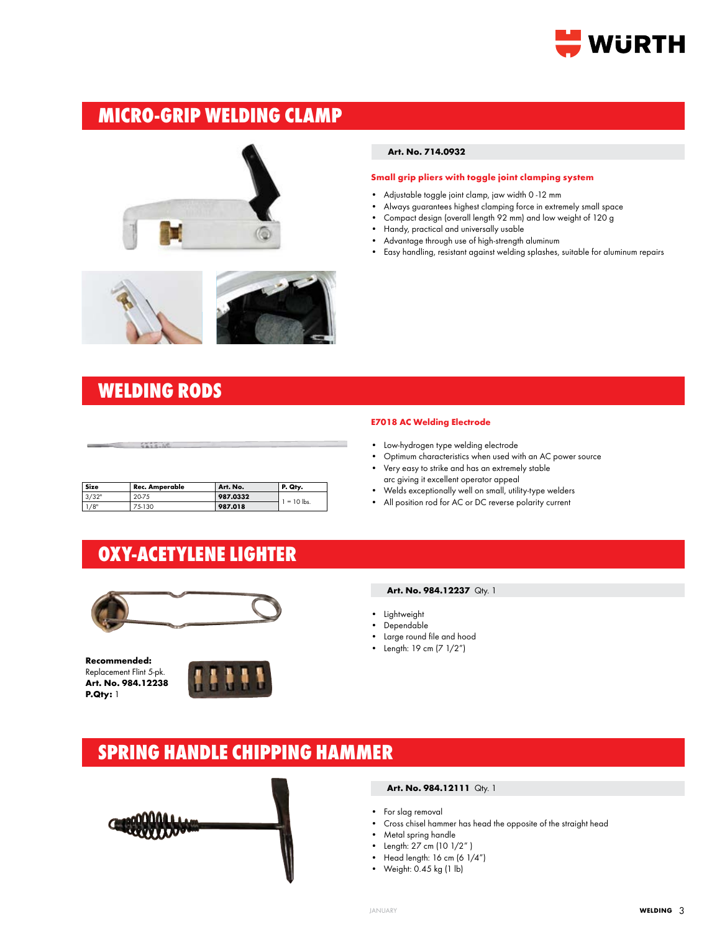

# **MICRO-GRIP WELDING CLAMP**





# **WELDING RODS**

| Size | <b>Rec. Amperable</b> | Art. No. | P. Qty. |  |
|------|-----------------------|----------|---------|--|
|      |                       |          |         |  |
|      |                       |          |         |  |
|      |                       |          |         |  |
|      |                       |          |         |  |

## **Art. No. 714.0932**

#### **Small grip pliers with toggle joint clamping system**

- Adjustable toggle joint clamp, jaw width 0 -12 mm
- Always guarantees highest clamping force in extremely small space
- Compact design (overall length 92 mm) and low weight of 120 g
- Handy, practical and universally usable
- Advantage through use of high-strength aluminum
- Easy handling, resistant against welding splashes, suitable for aluminum repairs

# **E7018 AC Welding Electrode**

- Low-hydrogen type welding electrode
- Optimum characteristics when used with an AC power source
- Very easy to strike and has an extremely stable arc giving it excellent operator appeal
- Welds exceptionally well on small, utility-type welders
- All position rod for AC or DC reverse polarity current

# **OXY-ACETYLENE LIGHTER**

**987.0332** 1/8" 20-75 **987.0332** 1 = 10 lbs.



**Recommended:**  Replacement Flint 5-pk. **Art. No. 984.12238 P.Qty:** 1



## **Art. No. 984.12237** Qty. 1

- Lightweight
- Dependable
- Large round file and hood
- Length: 19 cm (7 1/2")

# **SPRING HANDLE CHIPPING HAMMER**



# **Art. No. 984.12111** Qty. 1

- For slag removal
- Cross chisel hammer has head the opposite of the straight head
- Metal spring handle
- Length: 27 cm (10 1/2" )
- Head length: 16 cm (6 1/4")
- Weight: 0.45 kg (1 lb)